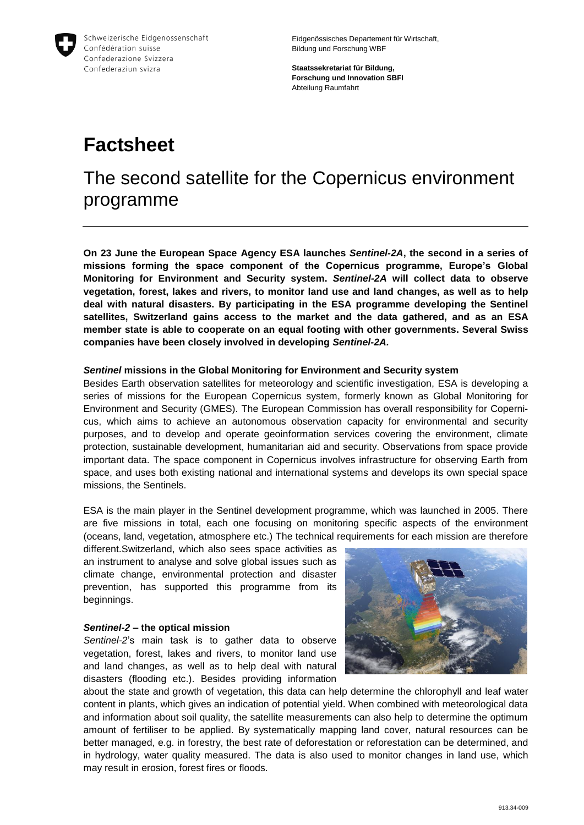

Eidgenössisches Departement für Wirtschaft, Bildung und Forschung WBF

**Staatssekretariat für Bildung, Forschung und Innovation SBFI** Abteilung Raumfahrt

# **Factsheet**

## The second satellite for the Copernicus environment programme

**On 23 June the European Space Agency ESA launches** *Sentinel-2A***, the second in a series of missions forming the space component of the Copernicus programme, Europe's Global Monitoring for Environment and Security system.** *Sentinel-2A* **will collect data to observe vegetation, forest, lakes and rivers, to monitor land use and land changes, as well as to help deal with natural disasters. By participating in the ESA programme developing the Sentinel satellites, Switzerland gains access to the market and the data gathered, and as an ESA member state is able to cooperate on an equal footing with other governments. Several Swiss companies have been closely involved in developing** *Sentinel-2A.*

### *Sentinel* **missions in the Global Monitoring for Environment and Security system**

Besides Earth observation satellites for meteorology and scientific investigation, ESA is developing a series of missions for the European Copernicus system, formerly known as Global Monitoring for Environment and Security (GMES). The European Commission has overall responsibility for Copernicus, which aims to achieve an autonomous observation capacity for environmental and security purposes, and to develop and operate geoinformation services covering the environment, climate protection, sustainable development, humanitarian aid and security. Observations from space provide important data. The space component in Copernicus involves infrastructure for observing Earth from space, and uses both existing national and international systems and develops its own special space missions, the Sentinels.

ESA is the main player in the Sentinel development programme, which was launched in 2005. There are five missions in total, each one focusing on monitoring specific aspects of the environment (oceans, land, vegetation, atmosphere etc.) The technical requirements for each mission are therefore

different.Switzerland, which also sees space activities as an instrument to analyse and solve global issues such as climate change, environmental protection and disaster prevention, has supported this programme from its beginnings.

#### *Sentinel-2* **– the optical mission**



about the state and growth of vegetation, this data can help determine the chlorophyll and leaf water content in plants, which gives an indication of potential yield. When combined with meteorological data and information about soil quality, the satellite measurements can also help to determine the optimum amount of fertiliser to be applied. By systematically mapping land cover, natural resources can be better managed, e.g. in forestry, the best rate of deforestation or reforestation can be determined, and in hydrology, water quality measured. The data is also used to monitor changes in land use, which may result in erosion, forest fires or floods.